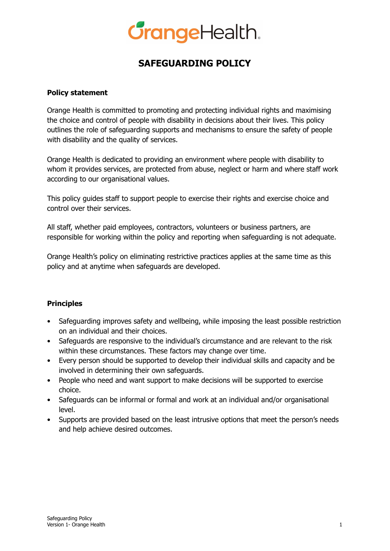# **GrangeHealth.**

## **SAFEGUARDING POLICY**

#### **Policy statement**

Orange Health is committed to promoting and protecting individual rights and maximising the choice and control of people with disability in decisions about their lives. This policy outlines the role of safeguarding supports and mechanisms to ensure the safety of people with disability and the quality of services.

Orange Health is dedicated to providing an environment where people with disability to whom it provides services, are protected from abuse, neglect or harm and where staff work according to our organisational values.

This policy guides staff to support people to exercise their rights and exercise choice and control over their services.

All staff, whether paid employees, contractors, volunteers or business partners, are responsible for working within the policy and reporting when safeguarding is not adequate.

Orange Health's policy on eliminating restrictive practices applies at the same time as this policy and at anytime when safeguards are developed.

### **Principles**

- Safeguarding improves safety and wellbeing, while imposing the least possible restriction on an individual and their choices.
- Safeguards are responsive to the individual's circumstance and are relevant to the risk within these circumstances. These factors may change over time.
- Every person should be supported to develop their individual skills and capacity and be involved in determining their own safeguards.
- People who need and want support to make decisions will be supported to exercise choice.
- Safeguards can be informal or formal and work at an individual and/or organisational level.
- Supports are provided based on the least intrusive options that meet the person's needs and help achieve desired outcomes.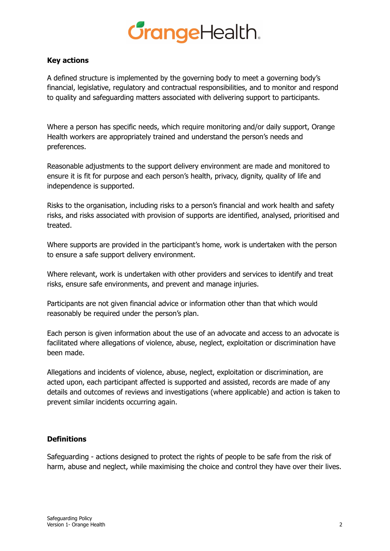# **GrangeHealth.**

#### **Key actions**

A defined structure is implemented by the governing body to meet a governing body's financial, legislative, regulatory and contractual responsibilities, and to monitor and respond to quality and safeguarding matters associated with delivering support to participants.

Where a person has specific needs, which require monitoring and/or daily support, Orange Health workers are appropriately trained and understand the person's needs and preferences.

Reasonable adjustments to the support delivery environment are made and monitored to ensure it is fit for purpose and each person's health, privacy, dignity, quality of life and independence is supported.

Risks to the organisation, including risks to a person's financial and work health and safety risks, and risks associated with provision of supports are identified, analysed, prioritised and treated.

Where supports are provided in the participant's home, work is undertaken with the person to ensure a safe support delivery environment.

Where relevant, work is undertaken with other providers and services to identify and treat risks, ensure safe environments, and prevent and manage injuries.

Participants are not given financial advice or information other than that which would reasonably be required under the person's plan.

Each person is given information about the use of an advocate and access to an advocate is facilitated where allegations of violence, abuse, neglect, exploitation or discrimination have been made.

Allegations and incidents of violence, abuse, neglect, exploitation or discrimination, are acted upon, each participant affected is supported and assisted, records are made of any details and outcomes of reviews and investigations (where applicable) and action is taken to prevent similar incidents occurring again.

#### **Definitions**

Safeguarding - actions designed to protect the rights of people to be safe from the risk of harm, abuse and neglect, while maximising the choice and control they have over their lives.